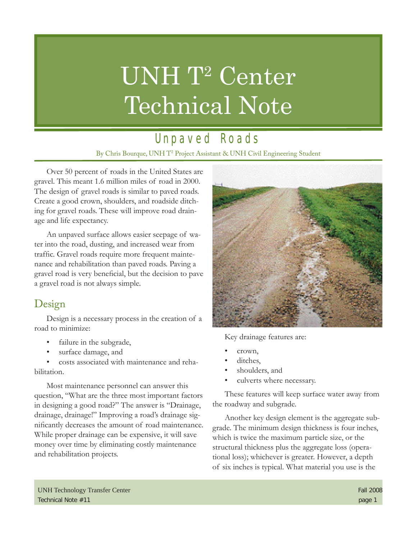# UNH T<sup>2</sup> Center Technical Note

## Unpaved Roads

By Chris Bourque, UNH T2 Project Assistant & UNH Civil Engineering Student

Over 50 percent of roads in the United States are gravel. This meant 1.6 million miles of road in 2000. The design of gravel roads is similar to paved roads. Create a good crown, shoulders, and roadside ditching for gravel roads. These will improve road drainage and life expectancy.

An unpaved surface allows easier seepage of water into the road, dusting, and increased wear from traffic. Gravel roads require more frequent maintenance and rehabilitation than paved roads. Paving a gravel road is very beneficial, but the decision to pave a gravel road is not always simple.

#### Design

Design is a necessary process in the creation of a road to minimize:

- failure in the subgrade,
- surface damage, and

• costs associated with maintenance and rehabilitation.

Most maintenance personnel can answer this question, "What are the three most important factors in designing a good road?" The answer is "Drainage, drainage, drainage!" Improving a road's drainage significantly decreases the amount of road maintenance. While proper drainage can be expensive, it will save money over time by eliminating costly maintenance and rehabilitation projects.



Key drainage features are:

- crown,
- ditches.
- shoulders, and
- culverts where necessary.

These features will keep surface water away from the roadway and subgrade.

Another key design element is the aggregate subgrade. The minimum design thickness is four inches, which is twice the maximum particle size, or the structural thickness plus the aggregate loss (operational loss); whichever is greater. However, a depth of six inches is typical. What material you use is the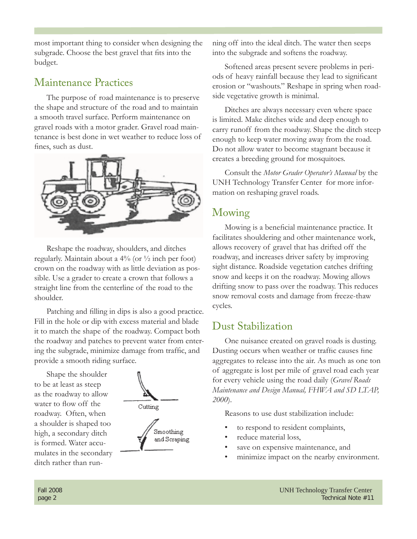most important thing to consider when designing the subgrade. Choose the best gravel that fits into the budget.

#### Maintenance Practices

The purpose of road maintenance is to preserve the shape and structure of the road and to maintain a smooth travel surface. Perform maintenance on gravel roads with a motor grader. Gravel road maintenance is best done in wet weather to reduce loss of fines, such as dust.



Reshape the roadway, shoulders, and ditches regularly. Maintain about a 4% (or ½ inch per foot) crown on the roadway with as little deviation as possible. Use a grader to create a crown that follows a straight line from the centerline of the road to the shoulder.

Patching and filling in dips is also a good practice. Fill in the hole or dip with excess material and blade it to match the shape of the roadway. Compact both the roadway and patches to prevent water from entering the subgrade, minimize damage from traffic, and provide a smooth riding surface.

Shape the shoulder to be at least as steep as the roadway to allow water to flow off the roadway. Often, when a shoulder is shaped too high, a secondary ditch is formed. Water accumulates in the secondary ditch rather than run-



ning off into the ideal ditch. The water then seeps into the subgrade and softens the roadway.

Softened areas present severe problems in periods of heavy rainfall because they lead to significant erosion or "washouts." Reshape in spring when roadside vegetative growth is minimal.

Ditches are always necessary even where space is limited. Make ditches wide and deep enough to carry runoff from the roadway. Shape the ditch steep enough to keep water moving away from the road. Do not allow water to become stagnant because it creates a breeding ground for mosquitoes.

Consult the *Motor Grader Operator's Manual* by the UNH Technology Transfer Center for more information on reshaping gravel roads.

#### Mowing

Mowing is a beneficial maintenance practice. It facilitates shouldering and other maintenance work, allows recovery of gravel that has drifted off the roadway, and increases driver safety by improving sight distance. Roadside vegetation catches drifting snow and keeps it on the roadway. Mowing allows drifting snow to pass over the roadway. This reduces snow removal costs and damage from freeze-thaw cycles.

#### Dust Stabilization

One nuisance created on gravel roads is dusting. Dusting occurs when weather or traffic causes fine aggregates to release into the air. As much as one ton of aggregate is lost per mile of gravel road each year for every vehicle using the road daily (*Gravel Roads Maintenance and Design Manual, FHWA and SD LTAP, 2000*).

Reasons to use dust stabilization include:

- to respond to resident complaints,
- reduce material loss,
- save on expensive maintenance, and
- minimize impact on the nearby environment.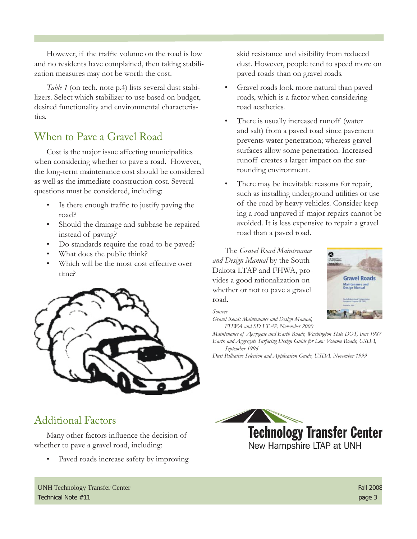However, if the traffic volume on the road is low and no residents have complained, then taking stabilization measures may not be worth the cost.

*Table 1* (on tech. note p.4) lists several dust stabilizers. Select which stabilizer to use based on budget, desired functionality and environmental characteristics.

#### When to Pave a Gravel Road

Cost is the major issue affecting municipalities when considering whether to pave a road. However, the long-term maintenance cost should be considered as well as the immediate construction cost. Several questions must be considered, including:

- Is there enough traffic to justify paving the road?
- Should the drainage and subbase be repaired instead of paving?
- Do standards require the road to be paved?
- What does the public think?
- Which will be the most cost effective over time?



skid resistance and visibility from reduced dust. However, people tend to speed more on paved roads than on gravel roads.

- Gravel roads look more natural than paved roads, which is a factor when considering road aesthetics.
- There is usually increased runoff (water and salt) from a paved road since pavement prevents water penetration; whereas gravel surfaces allow some penetration. Increased runoff creates a larger impact on the surrounding environment.
- There may be inevitable reasons for repair, such as installing underground utilities or use of the road by heavy vehicles. Consider keeping a road unpaved if major repairs cannot be avoided. It is less expensive to repair a gravel road than a paved road.

The *Gravel Road Maintenance and Design Manual* by the South Dakota LTAP and FHWA, provides a good rationalization on whether or not to pave a gravel road.

*Sources*

*Gravel Roads Maintenance and Design Manual, FHWA and SD LTAP, November 2000*

*Maintenance of Aggregate and Earth Roads, Washington State DOT, June 1987 Earth and Aggregate Surfacing Design Guide for Low Volume Roads, USDA, September 1996*

*Dust Palliative Selection and Application Guide, USDA, November 1999*



### Additional Factors

Many other factors influence the decision of whether to pave a gravel road, including:

• Paved roads increase safety by improving

UNH Technology Transfer Center Fall 2008 Technical Note #11 page 3